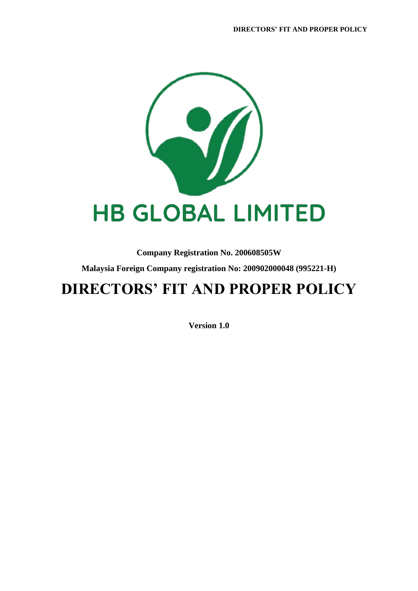

**Company Registration No. 200608505W Malaysia Foreign Company registration No: 200902000048 (995221-H)**

## **DIRECTORS' FIT AND PROPER POLICY**

**Version 1.0**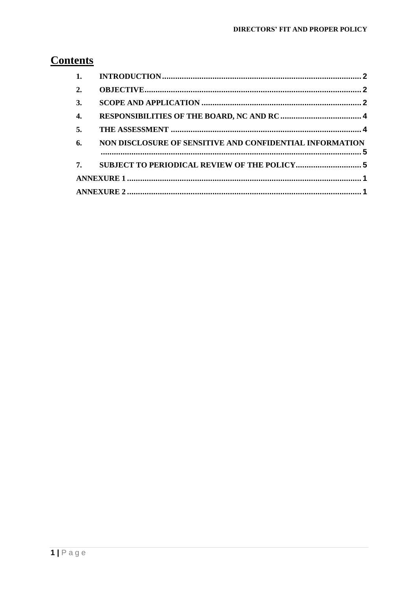### **Contents**

| 2.               |                                                          |  |
|------------------|----------------------------------------------------------|--|
| 3.               |                                                          |  |
| $\overline{4}$ . |                                                          |  |
| 5.               |                                                          |  |
| 6.               | NON DISCLOSURE OF SENSITIVE AND CONFIDENTIAL INFORMATION |  |
| 7.               |                                                          |  |
|                  |                                                          |  |
|                  |                                                          |  |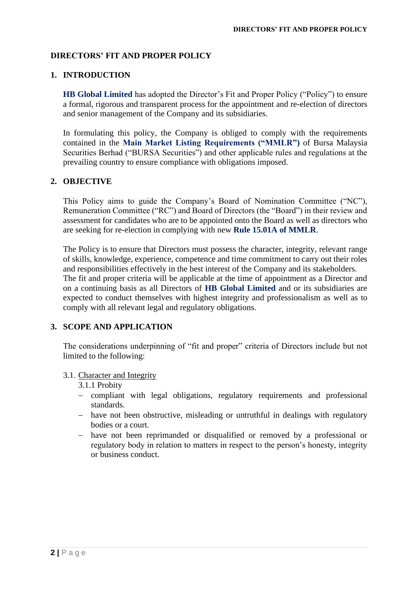#### **DIRECTORS' FIT AND PROPER POLICY**

#### <span id="page-2-0"></span>**1. INTRODUCTION**

**HB Global Limited** has adopted the Director's Fit and Proper Policy ("Policy") to ensure a formal, rigorous and transparent process for the appointment and re-election of directors and senior management of the Company and its subsidiaries.

In formulating this policy, the Company is obliged to comply with the requirements contained in the **Main Market Listing Requirements ("MMLR")** of Bursa Malaysia Securities Berhad ("BURSA Securities") and other applicable rules and regulations at the prevailing country to ensure compliance with obligations imposed.

#### <span id="page-2-1"></span>**2. OBJECTIVE**

This Policy aims to guide the Company's Board of Nomination Committee ("NC"), Remuneration Committee ("RC") and Board of Directors (the "Board") in their review and assessment for candidates who are to be appointed onto the Board as well as directors who are seeking for re-election in complying with new **Rule 15.01A of MMLR**.

The Policy is to ensure that Directors must possess the character, integrity, relevant range of skills, knowledge, experience, competence and time commitment to carry out their roles and responsibilities effectively in the best interest of the Company and its stakeholders. The fit and proper criteria will be applicable at the time of appointment as a Director and on a continuing basis as all Directors of **HB Global Limited** and or its subsidiaries are expected to conduct themselves with highest integrity and professionalism as well as to comply with all relevant legal and regulatory obligations.

#### <span id="page-2-2"></span>**3. SCOPE AND APPLICATION**

The considerations underpinning of "fit and proper" criteria of Directors include but not limited to the following:

#### 3.1. Character and Integrity

3.1.1 Probity

- − compliant with legal obligations, regulatory requirements and professional standards.
- − have not been obstructive, misleading or untruthful in dealings with regulatory bodies or a court.
- − have not been reprimanded or disqualified or removed by a professional or regulatory body in relation to matters in respect to the person's honesty, integrity or business conduct.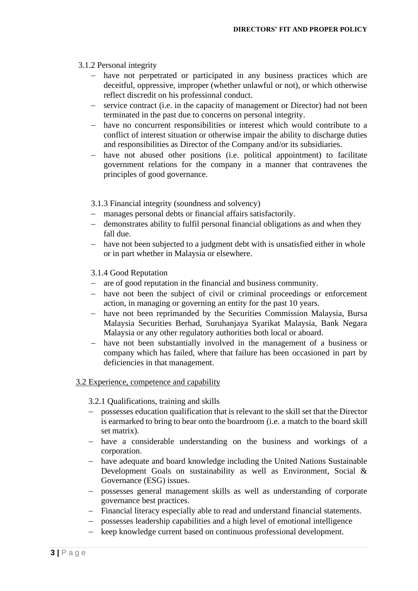#### 3.1.2 Personal integrity

- have not perpetrated or participated in any business practices which are deceitful, oppressive, improper (whether unlawful or not), or which otherwise reflect discredit on his professional conduct.
- − service contract (i.e. in the capacity of management or Director) had not been terminated in the past due to concerns on personal integrity.
- − have no concurrent responsibilities or interest which would contribute to a conflict of interest situation or otherwise impair the ability to discharge duties and responsibilities as Director of the Company and/or its subsidiaries.
- − have not abused other positions (i.e. political appointment) to facilitate government relations for the company in a manner that contravenes the principles of good governance.
- 3.1.3 Financial integrity (soundness and solvency)
- manages personal debts or financial affairs satisfactorily.
- − demonstrates ability to fulfil personal financial obligations as and when they fall due.
- − have not been subjected to a judgment debt with is unsatisfied either in whole or in part whether in Malaysia or elsewhere.
- 3.1.4 Good Reputation
- − are of good reputation in the financial and business community.
- − have not been the subject of civil or criminal proceedings or enforcement action, in managing or governing an entity for the past 10 years.
- − have not been reprimanded by the Securities Commission Malaysia, Bursa Malaysia Securities Berhad, Suruhanjaya Syarikat Malaysia, Bank Negara Malaysia or any other regulatory authorities both local or aboard.
- − have not been substantially involved in the management of a business or company which has failed, where that failure has been occasioned in part by deficiencies in that management.

#### 3.2 Experience, competence and capability

#### 3.2.1 Qualifications, training and skills

- − possesses education qualification that is relevant to the skill set that the Director is earmarked to bring to bear onto the boardroom (i.e. a match to the board skill set matrix).
- − have a considerable understanding on the business and workings of a corporation.
- − have adequate and board knowledge including the United Nations Sustainable Development Goals on sustainability as well as Environment, Social & Governance (ESG) issues.
- − possesses general management skills as well as understanding of corporate governance best practices.
- − Financial literacy especially able to read and understand financial statements.
- − possesses leadership capabilities and a high level of emotional intelligence
- − keep knowledge current based on continuous professional development.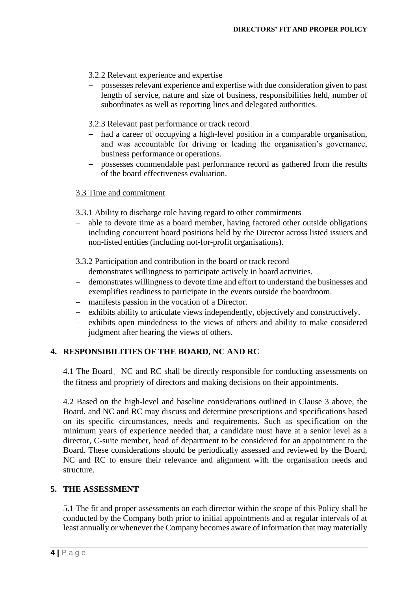- 3.2.2 Relevant experience and expertise
- − possesses relevant experience and expertise with due consideration given to past length of service, nature and size of business, responsibilities held, number of subordinates as well as reporting lines and delegated authorities.
- 3.2.3 Relevant past performance or track record
- had a career of occupying a high-level position in a comparable organisation, and was accountable for driving or leading the organisation's governance, business performance or operations.
- − possesses commendable past performance record as gathered from the results of the board effectiveness evaluation.

#### 3.3 Time and commitment

- 3.3.1 Ability to discharge role having regard to other commitments
- − able to devote time as a board member, having factored other outside obligations including concurrent board positions held by the Director across listed issuers and non-listed entities (including not-for-profit organisations).

3.3.2 Participation and contribution in the board or track record

- − demonstrates willingness to participate actively in board activities.
- − demonstrates willingness to devote time and effort to understand the businesses and exemplifies readiness to participate in the events outside the boardroom.
- − manifests passion in the vocation of a Director.
- − exhibits ability to articulate views independently, objectively and constructively.
- − exhibits open mindedness to the views of others and ability to make considered judgment after hearing the views of others.

#### <span id="page-4-0"></span>**4. RESPONSIBILITIES OF THE BOARD, NC AND RC**

4.1 The Board, NC and RC shall be directly responsible for conducting assessments on the fitness and propriety of directors and making decisions on their appointments.

4.2 Based on the high-level and baseline considerations outlined in Clause 3 above, the Board, and NC and RC may discuss and determine prescriptions and specifications based on its specific circumstances, needs and requirements. Such as specification on the minimum years of experience needed that, a candidate must have at a senior level as a director, C-suite member, head of department to be considered for an appointment to the Board. These considerations should be periodically assessed and reviewed by the Board, NC and RC to ensure their relevance and alignment with the organisation needs and structure.

#### <span id="page-4-1"></span>**5. THE ASSESSMENT**

5.1 The fit and proper assessments on each director within the scope of this Policy shall be conducted by the Company both prior to initial appointments and at regular intervals of at least annually or whenever the Company becomes aware of information that may materially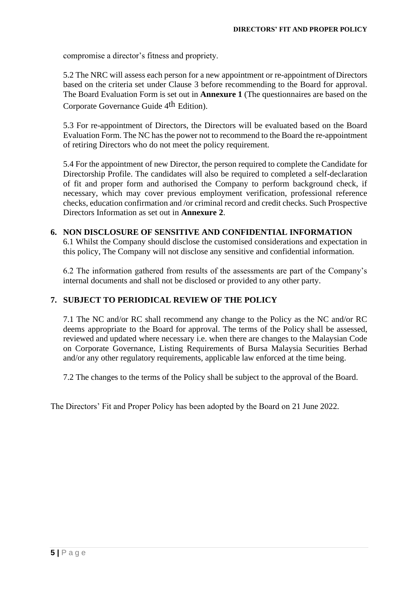compromise a director's fitness and propriety.

5.2 The NRC will assess each person for a new appointment or re-appointment ofDirectors based on the criteria set under Clause 3 before recommending to the Board for approval. The Board Evaluation Form is set out in **Annexure 1** (The questionnaires are based on the Corporate Governance Guide 4th Edition).

5.3 For re-appointment of Directors, the Directors will be evaluated based on the Board Evaluation Form. The NC has the power not to recommend to the Board the re-appointment of retiring Directors who do not meet the policy requirement.

5.4 For the appointment of new Director, the person required to complete the Candidate for Directorship Profile. The candidates will also be required to completed a self-declaration of fit and proper form and authorised the Company to perform background check, if necessary, which may cover previous employment verification, professional reference checks, education confirmation and /or criminal record and credit checks. Such Prospective Directors Information as set out in **Annexure 2**.

#### <span id="page-5-0"></span>**6. NON DISCLOSURE OF SENSITIVE AND CONFIDENTIAL INFORMATION**

6.1 Whilst the Company should disclose the customised considerations and expectation in this policy, The Company will not disclose any sensitive and confidential information.

6.2 The information gathered from results of the assessments are part of the Company's internal documents and shall not be disclosed or provided to any other party.

#### <span id="page-5-1"></span>**7. SUBJECT TO PERIODICAL REVIEW OF THE POLICY**

7.1 The NC and/or RC shall recommend any change to the Policy as the NC and/or RC deems appropriate to the Board for approval. The terms of the Policy shall be assessed, reviewed and updated where necessary i.e. when there are changes to the Malaysian Code on Corporate Governance, Listing Requirements of Bursa Malaysia Securities Berhad and/or any other regulatory requirements, applicable law enforced at the time being.

7.2 The changes to the terms of the Policy shall be subject to the approval of the Board.

The Directors' Fit and Proper Policy has been adopted by the Board on 21 June 2022.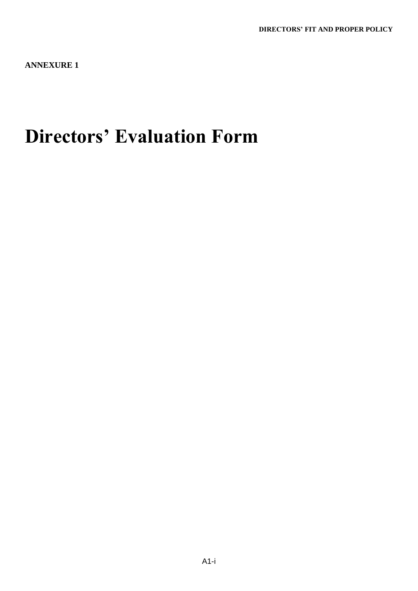<span id="page-6-0"></span>**ANNEXURE 1**

# **Directors' Evaluation Form**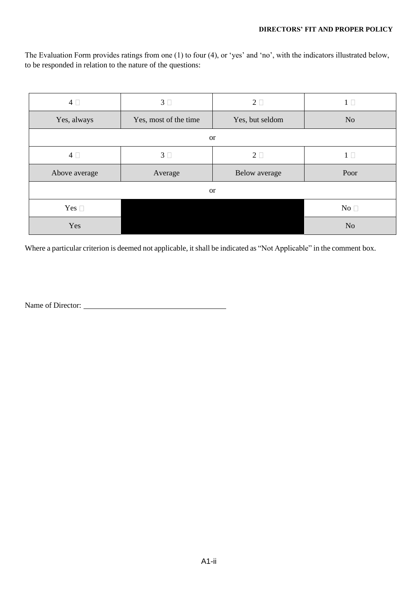The Evaluation Form provides ratings from one (1) to four (4), or 'yes' and 'no', with the indicators illustrated below, to be responded in relation to the nature of the questions:

| $4\square$    | 3 <sup>1</sup>        | $2\square$           | 1 <sup>1</sup> |  |  |
|---------------|-----------------------|----------------------|----------------|--|--|
| Yes, always   | Yes, most of the time | Yes, but seldom      | N <sub>o</sub> |  |  |
|               |                       | <b>or</b>            |                |  |  |
| $4\Box$       | 3 <sup>1</sup>        | $2\square$           | 1 <sub>0</sub> |  |  |
| Above average | Average               | <b>Below</b> average | Poor           |  |  |
| <b>or</b>     |                       |                      |                |  |  |
| Yes $\square$ |                       |                      | No $\Box$      |  |  |
|               |                       |                      |                |  |  |

Where a particular criterion is deemed not applicable, it shall be indicated as "Not Applicable" in the comment box.

Name of Director: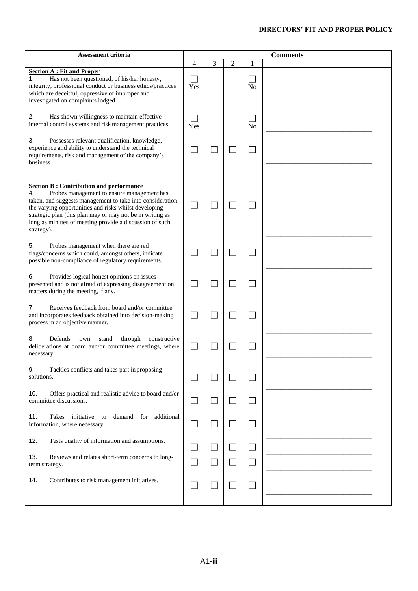#### **DIRECTORS' FIT AND PROPER POLICY**

| Assessment criteria                                                                                                                                                                                                                                                                                                                                            |          |                          |   | <b>Comments</b> |  |  |
|----------------------------------------------------------------------------------------------------------------------------------------------------------------------------------------------------------------------------------------------------------------------------------------------------------------------------------------------------------------|----------|--------------------------|---|-----------------|--|--|
|                                                                                                                                                                                                                                                                                                                                                                | 4        | 3                        | 2 | 1               |  |  |
| <b>Section A: Fit and Proper</b><br>Has not been questioned, of his/her honesty,<br>1.<br>integrity, professional conduct or business ethics/practices<br>which are deceitful, oppressive or improper and<br>investigated on complaints lodged.                                                                                                                | Yes      |                          |   | N <sub>o</sub>  |  |  |
| 2.<br>Has shown willingness to maintain effective<br>internal control systems and risk management practices.                                                                                                                                                                                                                                                   | Yes      |                          |   | No              |  |  |
| 3.<br>Possesses relevant qualification, knowledge,<br>experience and ability to understand the technical<br>requirements, risk and management of the company's<br>business.                                                                                                                                                                                    |          |                          |   |                 |  |  |
| <b>Section B: Contribution and performance</b><br>Probes management to ensure management has<br>4.<br>taken, and suggests management to take into consideration<br>the varying opportunities and risks whilst developing<br>strategic plan (this plan may or may not be in writing as<br>long as minutes of meeting provide a discussion of such<br>strategy). |          |                          |   |                 |  |  |
| 5.<br>Probes management when there are red<br>flags/concerns which could, amongst others, indicate<br>possible non-compliance of regulatory requirements.                                                                                                                                                                                                      |          |                          |   |                 |  |  |
| Provides logical honest opinions on issues<br>6.<br>presented and is not afraid of expressing disagreement on<br>matters during the meeting, if any.                                                                                                                                                                                                           |          |                          |   |                 |  |  |
| Receives feedback from board and/or committee<br>7.<br>and incorporates feedback obtained into decision-making<br>process in an objective manner.                                                                                                                                                                                                              |          |                          |   |                 |  |  |
| 8.<br>Defends<br>through<br>stand<br>constructive<br>own<br>deliberations at board and/or committee meetings, where<br>necessary.                                                                                                                                                                                                                              |          |                          |   |                 |  |  |
| 9.<br>Tackles conflicts and takes part in proposing<br>solutions.                                                                                                                                                                                                                                                                                              |          |                          |   |                 |  |  |
| 10.<br>Offers practical and realistic advice to board and/or<br>committee discussions.                                                                                                                                                                                                                                                                         |          |                          |   |                 |  |  |
| 11.<br>Takes<br>initiative<br>demand for additional<br>to<br>information, where necessary.                                                                                                                                                                                                                                                                     | $\sqcup$ | $\Box$                   |   |                 |  |  |
| Tests quality of information and assumptions.<br>12.                                                                                                                                                                                                                                                                                                           |          |                          |   |                 |  |  |
| 13.<br>Reviews and relates short-term concerns to long-<br>term strategy.                                                                                                                                                                                                                                                                                      |          | $\overline{\phantom{a}}$ |   |                 |  |  |
| 14.<br>Contributes to risk management initiatives.                                                                                                                                                                                                                                                                                                             |          | $\Box$                   |   |                 |  |  |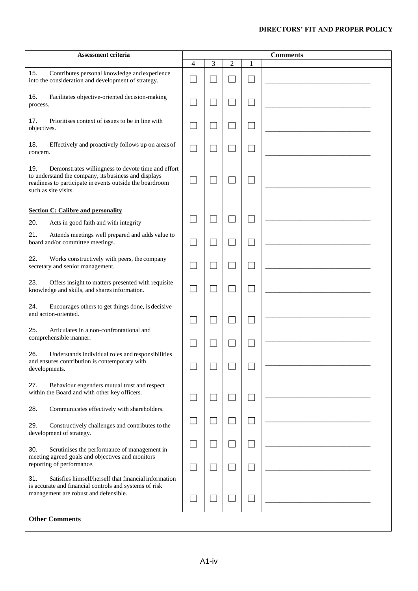#### **DIRECTORS' FIT AND PROPER POLICY**

| Assessment criteria                                                                                                                                                                                   |                | <b>Comments</b>          |                |   |  |
|-------------------------------------------------------------------------------------------------------------------------------------------------------------------------------------------------------|----------------|--------------------------|----------------|---|--|
|                                                                                                                                                                                                       | $\overline{4}$ | 3                        | $\overline{c}$ | 1 |  |
| 15.<br>Contributes personal knowledge and experience<br>into the consideration and development of strategy.                                                                                           |                |                          |                |   |  |
| 16.<br>Facilitates objective-oriented decision-making<br>process.                                                                                                                                     |                |                          |                |   |  |
| 17.<br>Prioritises context of issues to be in line with<br>objectives.                                                                                                                                |                |                          |                |   |  |
| 18.<br>Effectively and proactively follows up on areas of<br>concern.                                                                                                                                 |                |                          |                |   |  |
| 19.<br>Demonstrates willingness to devote time and effort<br>to understand the company, its business and displays<br>readiness to participate in events outside the boardroom<br>such as site visits. |                |                          |                |   |  |
| <b>Section C: Calibre and personality</b>                                                                                                                                                             |                |                          |                |   |  |
| 20.<br>Acts in good faith and with integrity                                                                                                                                                          |                |                          |                |   |  |
| 21.<br>Attends meetings well prepared and adds value to<br>board and/or committee meetings.                                                                                                           |                |                          |                |   |  |
| 22.<br>Works constructively with peers, the company<br>secretary and senior management.                                                                                                               |                |                          |                |   |  |
| 23.<br>Offers insight to matters presented with requisite<br>knowledge and skills, and shares information.                                                                                            |                |                          |                |   |  |
| 24.<br>Encourages others to get things done, is decisive<br>and action-oriented.                                                                                                                      |                |                          |                |   |  |
| 25.<br>Articulates in a non-confrontational and<br>comprehensible manner.                                                                                                                             |                |                          |                |   |  |
| Understands individual roles and responsibilities<br>26.<br>and ensures contribution is contemporary with<br>developments.                                                                            |                |                          |                |   |  |
| 27.<br>Behaviour engenders mutual trust and respect<br>within the Board and with other key officers.                                                                                                  |                | J.                       | $\mathcal{L}$  |   |  |
| 28.<br>Communicates effectively with shareholders.                                                                                                                                                    |                |                          |                |   |  |
| Constructively challenges and contributes to the<br>29.<br>development of strategy.                                                                                                                   |                |                          |                |   |  |
| 30.<br>Scrutinises the performance of management in<br>meeting agreed goals and objectives and monitors                                                                                               |                |                          |                |   |  |
| reporting of performance.                                                                                                                                                                             |                |                          |                |   |  |
| 31.<br>Satisfies himself/herself that financial information<br>is accurate and financial controls and systems of risk<br>management are robust and defensible.                                        |                | $\overline{\phantom{a}}$ |                |   |  |
| <b>Other Comments</b>                                                                                                                                                                                 |                |                          |                |   |  |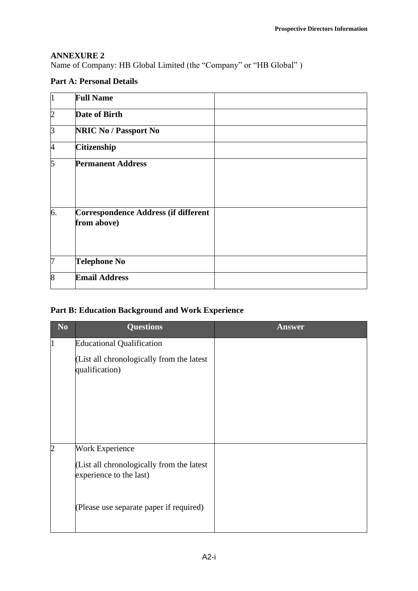#### <span id="page-10-0"></span>**ANNEXURE 2**

Name of Company: HB Global Limited (the "Company" or "HB Global" )

#### **Part A: Personal Details**

| $\overline{1}$ | <b>Full Name</b>                                    |  |
|----------------|-----------------------------------------------------|--|
| $\overline{2}$ | Date of Birth                                       |  |
| 3              | <b>NRIC No / Passport No</b>                        |  |
| 4              | <b>Citizenship</b>                                  |  |
| 5              | <b>Permanent Address</b>                            |  |
| 6.             | Correspondence Address (if different<br>from above) |  |
| 7              | <b>Telephone No</b>                                 |  |
| 8              | <b>Email Address</b>                                |  |

#### **Part B: Education Background and Work Experience**

| N <sub>0</sub> | <b>Questions</b>                                                                               | <b>Answer</b> |
|----------------|------------------------------------------------------------------------------------------------|---------------|
| $\overline{1}$ | <b>Educational Qualification</b>                                                               |               |
|                | (List all chronologically from the latest<br>qualification)                                    |               |
| $\overline{2}$ | <b>Work Experience</b><br>(List all chronologically from the latest<br>experience to the last) |               |
|                | (Please use separate paper if required)                                                        |               |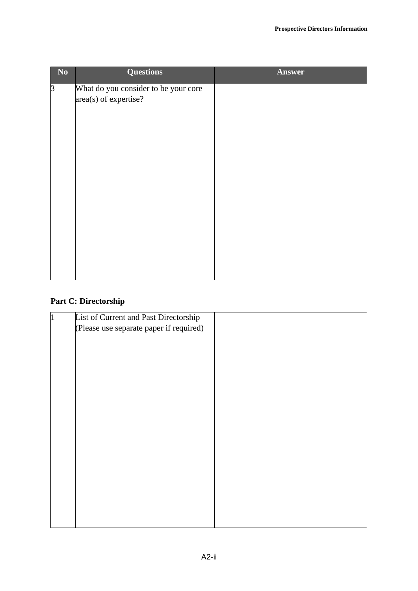| No             | <b>Questions</b>                                              | Answer |
|----------------|---------------------------------------------------------------|--------|
| $\overline{3}$ | What do you consider to be your core<br>area(s) of expertise? |        |
|                |                                                               |        |

#### **Part C: Directorship**

| $ 1\rangle$ | List of Current and Past Directorship   |  |
|-------------|-----------------------------------------|--|
|             | (Please use separate paper if required) |  |
|             |                                         |  |
|             |                                         |  |
|             |                                         |  |
|             |                                         |  |
|             |                                         |  |
|             |                                         |  |
|             |                                         |  |
|             |                                         |  |
|             |                                         |  |
|             |                                         |  |
|             |                                         |  |
|             |                                         |  |
|             |                                         |  |
|             |                                         |  |
|             |                                         |  |
|             |                                         |  |
|             |                                         |  |
|             |                                         |  |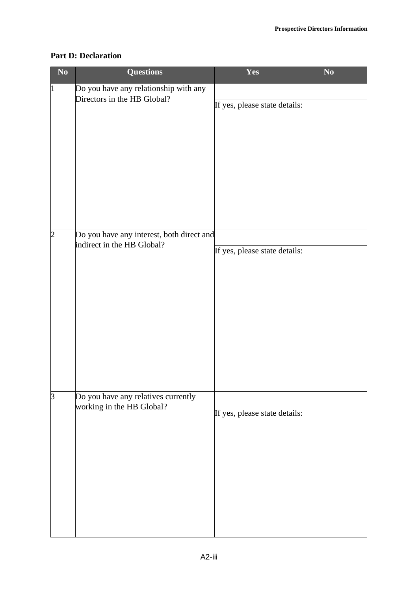#### **Part D: Declaration**

| $\mathbf{N}\mathbf{o}$ | <b>Questions</b>                                                        | Yes                           | $\mathbf{N}\mathbf{o}$ |
|------------------------|-------------------------------------------------------------------------|-------------------------------|------------------------|
| $\vert$ 1              | Do you have any relationship with any<br>Directors in the HB Global?    | If yes, please state details: |                        |
| $\overline{2}$         | Do you have any interest, both direct and<br>indirect in the HB Global? | If yes, please state details: |                        |
| $\overline{3}$         | Do you have any relatives currently<br>working in the HB Global?        | If yes, please state details: |                        |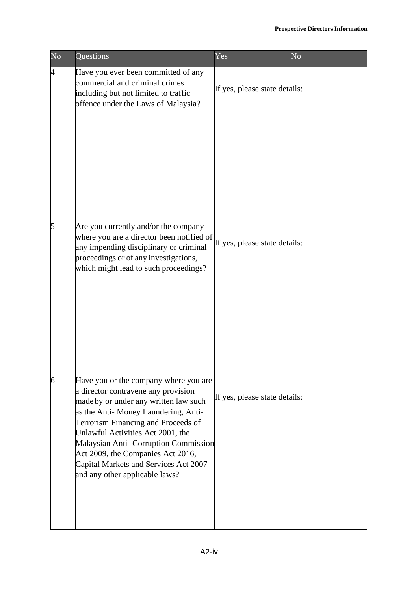| N <sub>o</sub> | Questions                                                                                                                                                                                                                                                                                                                                                                                         | Yes                           | N <sub>o</sub> |
|----------------|---------------------------------------------------------------------------------------------------------------------------------------------------------------------------------------------------------------------------------------------------------------------------------------------------------------------------------------------------------------------------------------------------|-------------------------------|----------------|
| 4              | Have you ever been committed of any<br>commercial and criminal crimes<br>including but not limited to traffic<br>offence under the Laws of Malaysia?                                                                                                                                                                                                                                              | If yes, please state details: |                |
| 5              | Are you currently and/or the company<br>where you are a director been notified of<br>any impending disciplinary or criminal<br>proceedings or of any investigations,<br>which might lead to such proceedings?                                                                                                                                                                                     | If yes, please state details: |                |
| 6              | Have you or the company where you are<br>a director contravene any provision<br>made by or under any written law such<br>as the Anti-Money Laundering, Anti-<br>Terrorism Financing and Proceeds of<br>Unlawful Activities Act 2001, the<br>Malaysian Anti- Corruption Commission<br>Act 2009, the Companies Act 2016,<br>Capital Markets and Services Act 2007<br>and any other applicable laws? | If yes, please state details: |                |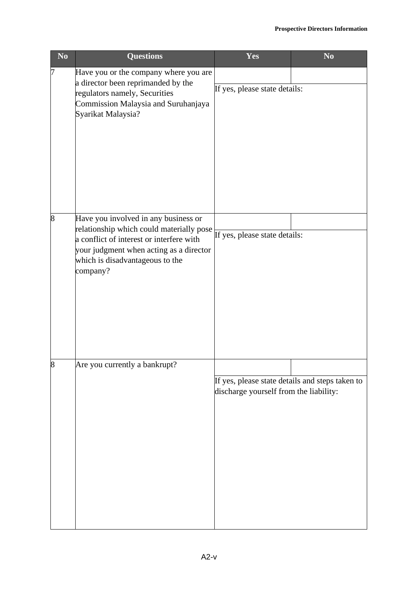| $\mathbf{N}\mathbf{o}$ | <b>Questions</b>                                                                                                                                                                                                       | Yes                                                                                       | $\overline{\text{No}}$ |
|------------------------|------------------------------------------------------------------------------------------------------------------------------------------------------------------------------------------------------------------------|-------------------------------------------------------------------------------------------|------------------------|
| 7                      | Have you or the company where you are<br>a director been reprimanded by the<br>regulators namely, Securities<br>Commission Malaysia and Suruhanjaya<br>Syarikat Malaysia?                                              | If yes, please state details:                                                             |                        |
| 8                      | Have you involved in any business or<br>relationship which could materially pose<br>a conflict of interest or interfere with<br>your judgment when acting as a director<br>which is disadvantageous to the<br>company? | If yes, please state details:                                                             |                        |
| 8                      | Are you currently a bankrupt?                                                                                                                                                                                          | If yes, please state details and steps taken to<br>discharge yourself from the liability: |                        |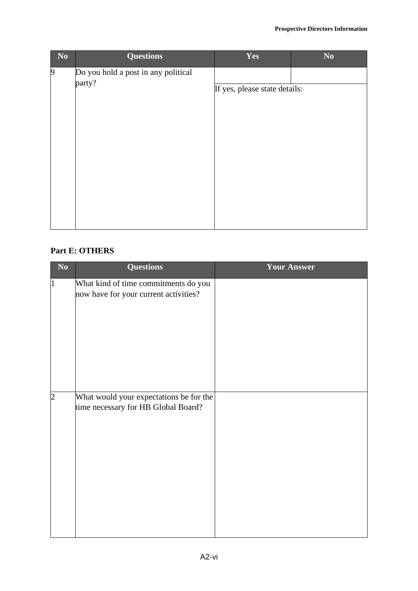| N <sub>0</sub> | <b>Questions</b>                    | Yes                           | $\mathbf{N}\mathbf{0}$ |  |  |
|----------------|-------------------------------------|-------------------------------|------------------------|--|--|
| 9              | Do you hold a post in any political |                               |                        |  |  |
|                | party?                              | If yes, please state details: |                        |  |  |
|                |                                     |                               |                        |  |  |
|                |                                     |                               |                        |  |  |
|                |                                     |                               |                        |  |  |
|                |                                     |                               |                        |  |  |
|                |                                     |                               |                        |  |  |
|                |                                     |                               |                        |  |  |
|                |                                     |                               |                        |  |  |
|                |                                     |                               |                        |  |  |

#### **Part E: OTHERS**

| $\mathbf{N}\mathbf{o}$ | <b>Questions</b>                        | <b>Your Answer</b> |
|------------------------|-----------------------------------------|--------------------|
| $\vert$ 1              | What kind of time commitments do you    |                    |
|                        | now have for your current activities?   |                    |
|                        |                                         |                    |
|                        |                                         |                    |
|                        |                                         |                    |
|                        |                                         |                    |
|                        |                                         |                    |
|                        |                                         |                    |
|                        |                                         |                    |
|                        |                                         |                    |
|                        |                                         |                    |
| $\overline{2}$         | What would your expectations be for the |                    |
|                        | time necessary for HB Global Board?     |                    |
|                        |                                         |                    |
|                        |                                         |                    |
|                        |                                         |                    |
|                        |                                         |                    |
|                        |                                         |                    |
|                        |                                         |                    |
|                        |                                         |                    |
|                        |                                         |                    |
|                        |                                         |                    |
|                        |                                         |                    |
|                        |                                         |                    |
|                        |                                         |                    |